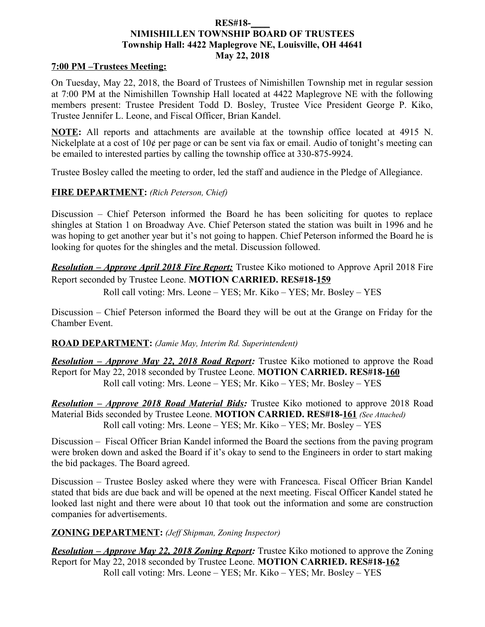#### **RES#18-\_\_\_\_ NIMISHILLEN TOWNSHIP BOARD OF TRUSTEES Township Hall: 4422 Maplegrove NE, Louisville, OH 44641 May 22, 2018**

#### **7:00 PM –Trustees Meeting:**

On Tuesday, May 22, 2018, the Board of Trustees of Nimishillen Township met in regular session at 7:00 PM at the Nimishillen Township Hall located at 4422 Maplegrove NE with the following members present: Trustee President Todd D. Bosley, Trustee Vice President George P. Kiko, Trustee Jennifer L. Leone, and Fiscal Officer, Brian Kandel.

**NOTE:** All reports and attachments are available at the township office located at 4915 N. Nickelplate at a cost of 10¢ per page or can be sent via fax or email. Audio of tonight's meeting can be emailed to interested parties by calling the township office at 330-875-9924.

Trustee Bosley called the meeting to order, led the staff and audience in the Pledge of Allegiance.

### **FIRE DEPARTMENT:** *(Rich Peterson, Chief)*

Discussion – Chief Peterson informed the Board he has been soliciting for quotes to replace shingles at Station 1 on Broadway Ave. Chief Peterson stated the station was built in 1996 and he was hoping to get another year but it's not going to happen. Chief Peterson informed the Board he is looking for quotes for the shingles and the metal. Discussion followed.

*Resolution – Approve April 2018 Fire Report:* Trustee Kiko motioned to Approve April 2018 Fire Report seconded by Trustee Leone. **MOTION CARRIED. RES#18-159**

Roll call voting: Mrs. Leone – YES; Mr. Kiko – YES; Mr. Bosley – YES

Discussion – Chief Peterson informed the Board they will be out at the Grange on Friday for the Chamber Event.

#### **ROAD DEPARTMENT:** *(Jamie May, Interim Rd. Superintendent)*

*Resolution – Approve May 22, 2018 Road Report:* Trustee Kiko motioned to approve the Road Report for May 22, 2018 seconded by Trustee Leone. **MOTION CARRIED. RES#18-160** Roll call voting: Mrs. Leone – YES; Mr. Kiko – YES; Mr. Bosley – YES

*Resolution – Approve 2018 Road Material Bids:* Trustee Kiko motioned to approve 2018 Road Material Bids seconded by Trustee Leone. **MOTION CARRIED. RES#18-161** *(See Attached)* Roll call voting: Mrs. Leone – YES; Mr. Kiko – YES; Mr. Bosley – YES

Discussion – Fiscal Officer Brian Kandel informed the Board the sections from the paving program were broken down and asked the Board if it's okay to send to the Engineers in order to start making the bid packages. The Board agreed.

Discussion – Trustee Bosley asked where they were with Francesca. Fiscal Officer Brian Kandel stated that bids are due back and will be opened at the next meeting. Fiscal Officer Kandel stated he looked last night and there were about 10 that took out the information and some are construction companies for advertisements.

## **ZONING DEPARTMENT:** *(Jeff Shipman, Zoning Inspector)*

*Resolution – Approve May 22, 2018 Zoning Report:* Trustee Kiko motioned to approve the Zoning Report for May 22, 2018 seconded by Trustee Leone. **MOTION CARRIED. RES#18-162** Roll call voting: Mrs. Leone – YES; Mr. Kiko – YES; Mr. Bosley – YES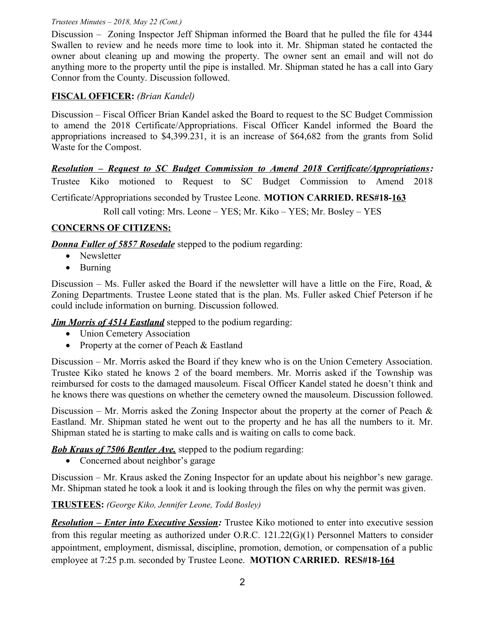#### *Trustees Minutes – 2018, May 22 (Cont.)*

Discussion – Zoning Inspector Jeff Shipman informed the Board that he pulled the file for 4344 Swallen to review and he needs more time to look into it. Mr. Shipman stated he contacted the owner about cleaning up and mowing the property. The owner sent an email and will not do anything more to the property until the pipe is installed. Mr. Shipman stated he has a call into Gary Connor from the County. Discussion followed.

# **FISCAL OFFICER:** *(Brian Kandel)*

Discussion – Fiscal Officer Brian Kandel asked the Board to request to the SC Budget Commission to amend the 2018 Certificate/Appropriations. Fiscal Officer Kandel informed the Board the appropriations increased to \$4,399.231, it is an increase of \$64,682 from the grants from Solid Waste for the Compost.

*Resolution – Request to SC Budget Commission to Amend 2018 Certificate/Appropriations:* Trustee Kiko motioned to Request to SC Budget Commission to Amend 2018 Certificate/Appropriations seconded by Trustee Leone. **MOTION CARRIED. RES#18-163** Roll call voting: Mrs. Leone – YES; Mr. Kiko – YES; Mr. Bosley – YES

# **CONCERNS OF CITIZENS:**

*Donna Fuller of 5857 Rosedale* stepped to the podium regarding:

- Newsletter
- Burning

Discussion – Ms. Fuller asked the Board if the newsletter will have a little on the Fire, Road,  $\&$ Zoning Departments. Trustee Leone stated that is the plan. Ms. Fuller asked Chief Peterson if he could include information on burning. Discussion followed.

*Jim Morris of 4514 Eastland* stepped to the podium regarding:

- Union Cemetery Association
- Property at the corner of Peach & Eastland

Discussion – Mr. Morris asked the Board if they knew who is on the Union Cemetery Association. Trustee Kiko stated he knows 2 of the board members. Mr. Morris asked if the Township was reimbursed for costs to the damaged mausoleum. Fiscal Officer Kandel stated he doesn't think and he knows there was questions on whether the cemetery owned the mausoleum. Discussion followed.

Discussion – Mr. Morris asked the Zoning Inspector about the property at the corner of Peach  $\&$ Eastland. Mr. Shipman stated he went out to the property and he has all the numbers to it. Mr. Shipman stated he is starting to make calls and is waiting on calls to come back.

*Bob Kraus of 7506 Bentler Ave.* stepped to the podium regarding:

• Concerned about neighbor's garage

Discussion – Mr. Kraus asked the Zoning Inspector for an update about his neighbor's new garage. Mr. Shipman stated he took a look it and is looking through the files on why the permit was given.

## **TRUSTEES:** *(George Kiko, Jennifer Leone, Todd Bosley)*

*Resolution – Enter into Executive Session:* Trustee Kiko motioned to enter into executive session from this regular meeting as authorized under O.R.C. 121.22(G)(1) Personnel Matters to consider appointment, employment, dismissal, discipline, promotion, demotion, or compensation of a public employee at 7:25 p.m. seconded by Trustee Leone. **MOTION CARRIED. RES#18-164**